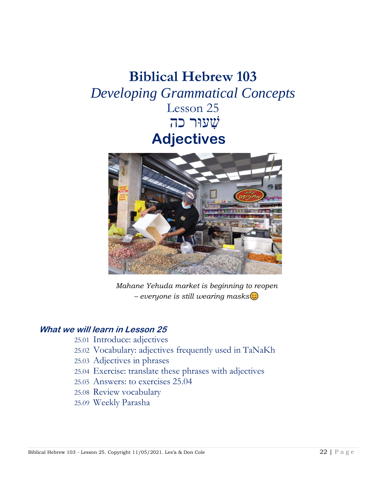# **Biblical Hebrew 103** *Developing Grammatical Concepts* Lesson 25 שׁ ִעוּר כה **Adjectives**



*Mahane Yehuda market is beginning to reopen – everyone is still wearing masks*

#### **What we will learn in Lesson 25**

- 25.01 Introduce: adjectives
- 25.02 Vocabulary: adjectives frequently used in TaNaKh
- 25.03 Adjectives in phrases
- 25.04 Exercise: translate these phrases with adjectives
- 25.05 Answers: to exercises 25.04
- 25.08 Review vocabulary
- 25.09 Weekly Parasha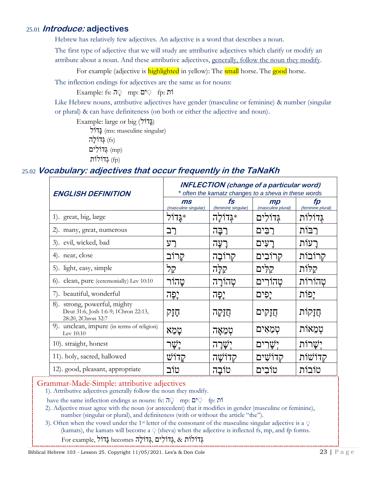#### 25.01 **Introduce: adjectives**

Hebrew has relatively few adjectives. An adjective is a word that describes a noun.

The first type of adjective that we will study are attributive adjectives which clarify or modify an attribute about a noun. And these attributive adjectives, generally, follow the noun they modify.

For example (adjective is **highlighted** in yellow): The **small** horse. The **good** horse.

The inflection endings for adjectives are the same as for nouns:

 $\text{Example: } \mathsf{fs:} \mathsf{n}$ \ mp: יְםְ $\mathsf{sp:} \mathsf{n}$  fp: וֹת

Like Hebrew nouns, attributive adjectives have gender (masculine or feminine) & number (singular or plural) & can have definiteness (on both or either the adjective and noun).

Example: large or big  $(717)$ 

 $\sum$ וֹל<sup>*(ms: masculine singular)*</sup> גְדוֹלָה (fs)

גְדוֹלִים $\pmod{\text{mp}}$ 

הוֹלוֹת (fp)

### 25.02 **Vocabulary: adjectives that occur frequently in the TaNaKh**

| <b>ENGLISH DEFINITION</b>                                                                  | <b>INFLECTION</b> (change of a particular word)<br>* often the kamatz changes to a sheva in these words |                              |                          |                         |
|--------------------------------------------------------------------------------------------|---------------------------------------------------------------------------------------------------------|------------------------------|--------------------------|-------------------------|
|                                                                                            | $\mathbf{m}\mathbf{s}$<br>(masculine singular)                                                          | $f_S$<br>(feminine singular) | mp<br>(masculine plural) | fp<br>(feminine plural) |
| 1). great, big, large                                                                      | אֲגַדוֹל                                                                                                | ∗גּדוֹלה                     | גִּדוֹלִים               | גִּדוֹלוֹת              |
| 2). many, great, numerous                                                                  | רב                                                                                                      | רַכַּה                       | רַבִּים                  | רבות                    |
| 3). evil, wicked, bad                                                                      | רע                                                                                                      | ־עַה                         | ־עִים                    | רעות                    |
| 4). near, close                                                                            | קרוב                                                                                                    | קרובַה                       | קרובִים                  | קרובות                  |
| 5). light, easy, simple                                                                    | קל                                                                                                      | קלָה                         | קלים                     | קלות                    |
| 6). clean, pure (ceremonially) Lev 10:10                                                   | טַהור                                                                                                   | טְהוֹרַה                     | טָהוֹרִים                | טהורות                  |
| 7). beautiful, wonderful                                                                   | יֶפֶה                                                                                                   | יֶפֶּה                       | יָפִים                   | יָפוֹת                  |
| 8). strong, powerful, mighty<br>Deut 31:6, Josh 1:6-9; 1Chron 22:13,<br>28:20, 2Chron 32:7 | תָזָק                                                                                                   | ក្សក្                        | חֲזָקִים                 | חֲזַקות                 |
| 9). unclean, impure (in terms of religion)<br>Lev 10:10                                    | טמא                                                                                                     | טמאה                         | טִמְאִים                 | טִמְאוֹת                |
| 10). straight, honest                                                                      | יָשָר                                                                                                   | יָשָׁרָה                     | יִשֲרִים                 | יִשֲרות                 |
| 11). holy, sacred, hallowed                                                                | קדוש                                                                                                    | קדושה                        | קדושִים                  | קדושות                  |
| 12). good, pleasant, appropriate                                                           | טוב                                                                                                     | טובה                         | טובים                    | טובות                   |

#### Grammar-Made-Simple: attributive adjectives

1). Attributive adjectives generally follow the noun they modify.

have the same inflection endings as nouns: fs:  $\overline{q}$  mp:  $\overline{p}$  fp:  $\overline{p}$  in

- 2). Adjective must agree with the noun (or antecedent) that it modifies in gender (masculine or feminine), number (singular or plural), and definiteness (with or without the article "the").
- 3). Often when the vowel under the 1st letter of the consonant of the masculine singular adjective is a **ָ**  (kamats), the kamats will become a **ְ** (sheva) when the adjective is inflected fs, mp, and fp forms. גְּדֹולֹות & ,גְּדֹולִ ים ,גְּדֹולָּה becomes גָּדֹול ,example For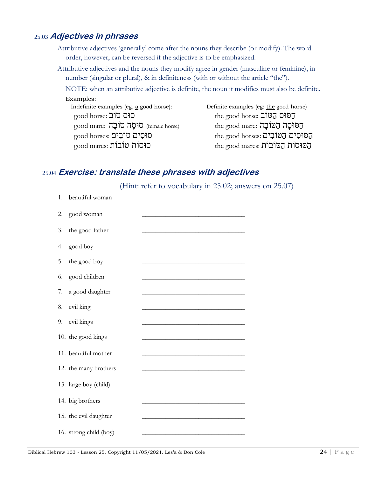#### 25.03 **Adjectives in phrases**

Attributive adjectives 'generally' come after the nouns they describe (or modify). The word order, however, can be reversed if the adjective is to be emphasized.

Attributive adjectives and the nouns they modify agree in gender (masculine or feminine), in number (singular or plural), & in definiteness (with or without the article "the").

NOTE: when an attributive adjective is definite, the noun it modifies must also be definite.

#### Examples:

Indefinite examples (eg, a good horse): Definite examples (eg: the good horse) הַסוּס הַטּוֹב ihe good horse: הַטּוֹב the good horse: הַטּוֹב הַסוּסָה הַטּוֹבָה ithe good mare: הַטּוֹבָה female horse) הַחֹּסוּסָה הַטּוֹבָה הַסּוּסִים הַטּוֹבִים :the good horses הַסוּסִים טוֹבִים  $\qquad \qquad$  the good horses  $\qquad$ הַסוּסוֹת הַטּוֹבוֹת the good mares: הַסוּסוֹת הַטּוֹבוֹת

#### 25.04 **Exercise: translate these phrases with adjectives**

(Hint: refer to vocabulary in 25.02; answers on 25.07)

| 1. | beautiful woman        |  |
|----|------------------------|--|
| 2. | good woman             |  |
| 3. | the good father        |  |
| 4. | good boy               |  |
| 5. | the good boy           |  |
| 6. | good children          |  |
| 7. | a good daughter        |  |
| 8. | evil king              |  |
| 9. | evil kings             |  |
|    | 10. the good kings     |  |
|    | 11. beautiful mother   |  |
|    | 12. the many brothers  |  |
|    | 13. large boy (child)  |  |
|    | 14. big brothers       |  |
|    | 15. the evil daughter  |  |
|    | 16. strong child (boy) |  |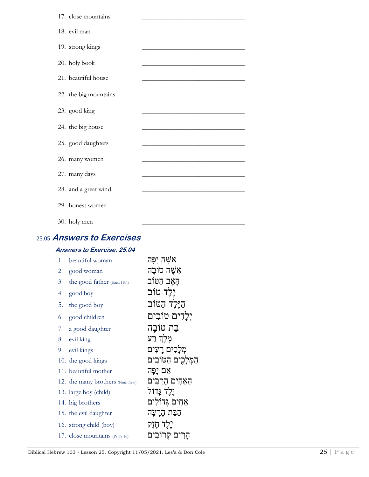| 17. close mountains   |                                                                                                                      |
|-----------------------|----------------------------------------------------------------------------------------------------------------------|
| 18. evil man          | <u> 1980 - Jan James James James James James James James James James James James James James James James James J</u> |
| 19. strong kings      |                                                                                                                      |
| 20. holy book         |                                                                                                                      |
| 21. beautiful house   | <u> 1989 - Johann John Stone, mars et al. (</u>                                                                      |
| 22. the big mountains | <u> 1980 - Johann Barbara, martxa alemaniar arg</u>                                                                  |
| 23. good king         | <u> 1989 - Johann Barbara, martxa alemaniar a</u>                                                                    |
| 24. the big house     |                                                                                                                      |
| 25. good daughters    |                                                                                                                      |
| 26. many women        |                                                                                                                      |
| 27. many days         |                                                                                                                      |
| 28. and a great wind  |                                                                                                                      |
| 29. honest women      |                                                                                                                      |
| 30. holy men          |                                                                                                                      |

# 25.05 **Answers to Exercises**

#### **Answers to Exercise: 25.04**

| 1. | beautiful woman                  | אִשֵׁה יַפַּה     |
|----|----------------------------------|-------------------|
| 2. | good woman                       | אִשַׁה טוֹבַה     |
| 3. | the good father (Ezek 18:4)      | הָאָב הַטּוֹב     |
| 4. | good boy                         | יֵלֵד טוֹב        |
| 5. | the good boy                     | היֵלֵד הַטּוֹב    |
| 6. | good children                    | יִלְדִים טוֹבִים  |
|    | 7. a good daughter               | בַּת טוֹבַה       |
|    | 8. evil king                     | מֵלֵךְ רַע        |
| 9. | evil kings                       | מִלַכִים רַעִּים  |
|    | 10. the good kings               | המלכים הטובים     |
|    | 11. beautiful mother             | אֵם יַפַּה        |
|    | 12. the many brothers (Num 32:6) | האחים הרבים       |
|    | 13. large boy (child)            | יֵלֵד גֵּדוֹל     |
|    | 14. big brothers                 | אַחִים גִּדוֹלִים |
|    | 15. the evil daughter            | הַבַּת הָרָעָה    |
|    | 16. strong child (boy)           | יֵלֵד חַזַק       |
|    | 17. close mountains (Ps 68:16)   | קָרִים קִרוֹבִים  |